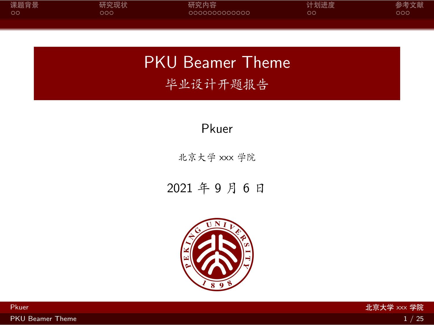<span id="page-0-0"></span>

| 课题背景 | 研究现状 | 研究内容          | 计划进度 | 参考文献 |
|------|------|---------------|------|------|
| - ററ | 200  | 0000000000000 | OΟ   | ೦೦೦  |
|      |      |               |      |      |

PKU Beamer Theme 毕业设计开题报告

Pkuer

北京大学 xxx 学院

2021 年 9 月 6 日

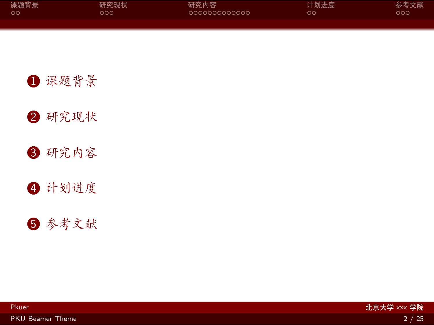| 课题背景 | 研究现状 | 研究内容          | 计划进度 | 参考文献 |
|------|------|---------------|------|------|
| _ ററ | റററ  | 0000000000000 | OΟ   | റററ  |
|      |      |               |      |      |

[研究现状](#page-7-0)

[研究内容](#page-10-0)

[计划进度](#page-24-0)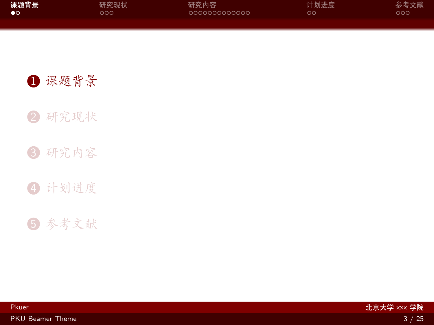<span id="page-2-0"></span>

| 课题背景 | 研究现状 | 研究内容          | 计划进度 | 参考文献 |
|------|------|---------------|------|------|
| ം    | ೦೦೦  | 0000000000000 | ОC   | ೦೦೦  |
|      |      |               |      |      |

[研究现状](#page-7-0)

[研究内容](#page-10-0)

[计划进度](#page-24-0)

[参考文献](#page-26-0)

Pkuer 北京大学 xxx 学院

[PKU Beamer Theme](#page-0-0) 3 / 25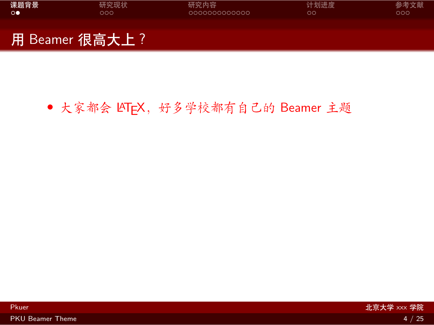| 课题背景 | 研究现状           | 研究内容           | 计划进度 | 参考文献 |
|------|----------------|----------------|------|------|
| ം    | ೦೦೦            | LOOOOOOOOOOOOO | ററ   | റററ  |
|      | 用 Beamer 很高大上? |                |      |      |

## • 大家都会 LATFX, 好多学校都有自己的 Beamer 主题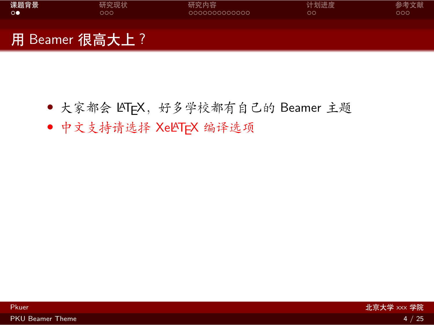| 课题背景 | 研究现状            | 研究内容           | 计划进度 | 参考文献 |
|------|-----------------|----------------|------|------|
| ം    | 000             | LOOOOOOOOOOOOO | ററ   | റററ  |
|      | 用 Beamer 很高大上 ? |                |      |      |

- 大家都会 LATFX, 好多学校都有自己的 Beamer 主题
- *•* 中文支持请选择 XeLATEX 编译选项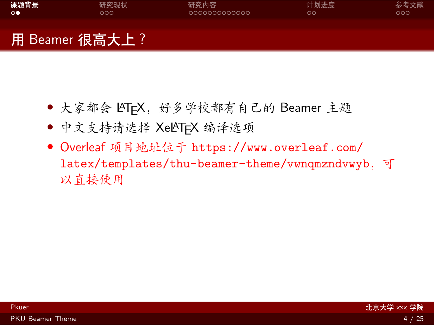

用 Beamer 很高大上?

- 大家都会 LATFX, 好多学校都有自己的 Beamer 主题
- *•* 中文支持请选择 XeLATEX 编译选项
- *•* Overleaf 项目地址位于 [https://www.overleaf.com/](https://www.overleaf.com/latex/templates/thu-beamer-theme/vwnqmzndvwyb) [latex/templates/thu-beamer-theme/vwnqmzndvwyb](https://www.overleaf.com/latex/templates/thu-beamer-theme/vwnqmzndvwyb),可 以直接使用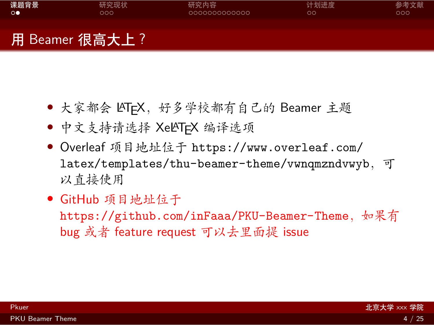| 课题背景 | 研究现状 | 研究内容          | 计划进度 | 参考文献 |
|------|------|---------------|------|------|
| ം    | 200  | 0000000000000 | OО   | 000  |
|      |      |               |      |      |
|      |      |               |      |      |

# 用 Beamer 很高大上?

- 大家都会 LATFX, 好多学校都有自己的 Beamer 主题
- *•* 中文支持请选择 XeLATEX 编译选项
- *•* Overleaf 项目地址位于 [https://www.overleaf.com/](https://www.overleaf.com/latex/templates/thu-beamer-theme/vwnqmzndvwyb) [latex/templates/thu-beamer-theme/vwnqmzndvwyb](https://www.overleaf.com/latex/templates/thu-beamer-theme/vwnqmzndvwyb),可 以直接使用
- *•* GitHub 项目地址位于

<https://github.com/inFaaa/PKU-Beamer-Theme>, 如果有 bug 或者 feature request 可以去里面提 issue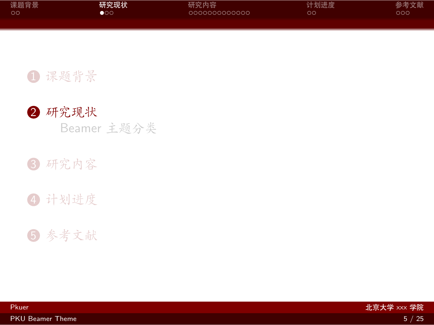<span id="page-7-0"></span>

| 课题背景 | 研究现状 | 研究内容          | 计划进度 | 参考文献 |
|------|------|---------------|------|------|
| ം റ  | ററ   | 0000000000000 | DС   | ೦೦೦  |
|      |      |               |      |      |



Beamer [主题分类](#page-8-0)

### 3 [研究内容](#page-10-0)

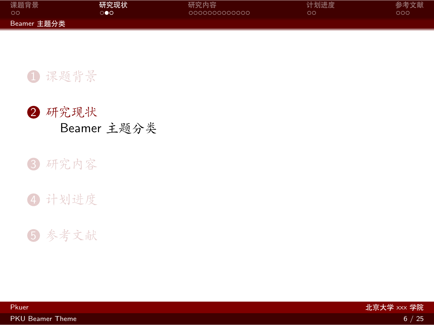<span id="page-8-0"></span>

| 课题背景        | 研究现状 | 研究内容          | 计划进度 | 参考文献 |
|-------------|------|---------------|------|------|
| - ററ        | ൈ    | lanonanananan | oα   | ೦೦೦  |
| Beamer 主题分类 |      |               |      |      |



#### 3 [研究内容](#page-10-0)

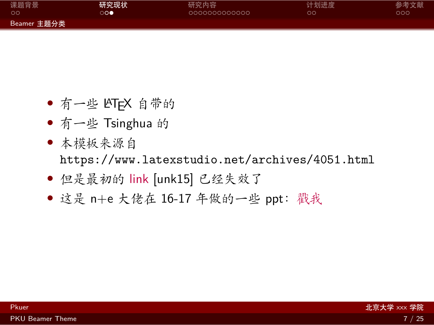| 课题背景        | 研究现状 | 研究内容          | 计划进度 | 参考文献 |
|-------------|------|---------------|------|------|
| . ററ        | ം    | 0000000000000 | ററ   | ೦೦೦  |
| Beamer 主题分类 |      |               |      |      |

- *•* 有一些 LATEX 自带的
- *•* 有一些 Tsinghua 的
- *•* 本模板来源自 <https://www.latexstudio.net/archives/4051.html>
- *•* 但是最初的 [link](http://far.tooold.cn/post/latex/beamertsinghua) [\[unk15\]](#page-27-0) 已经失效了
- *•* 这是 n+e 大佬在 16-17 年做的一些 ppt:[戳我](https://github.com/Trinkle23897/oi_slides)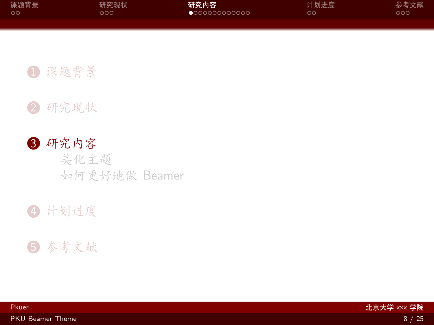<span id="page-10-0"></span>

| 课题背景 | 研究现状 | 研究内容                   | 计划进度 | 参考文献 |
|------|------|------------------------|------|------|
| ററ   | റററ  | $\bullet$ 000000000000 | ററ   | ೦೦೦  |
|      |      |                        |      |      |

2 [研究现状](#page-7-0)

3 [研究内容](#page-10-0) [美化主题](#page-11-0) [如何更好地做](#page-13-0) Beamer

4 [计划进度](#page-24-0)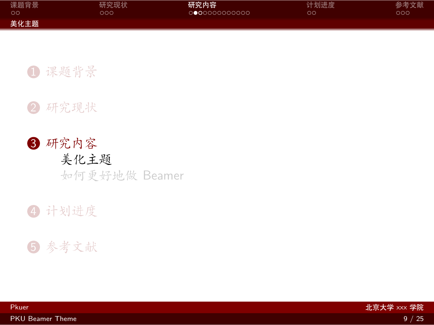<span id="page-11-0"></span>

| 课题背景 | 研究现状 | 研究内容                  | 计划进度 | 参考文献 |
|------|------|-----------------------|------|------|
| - ററ | ລດດ  | <u> ∩●∩∩∩∩∩∩∩∩∩</u> ∩ | OС   | ാററ  |
| 美化主题 |      |                       |      |      |



## 3 [研究内容](#page-10-0) [美化主题](#page-11-0) [如何更好地做](#page-13-0) Beamer

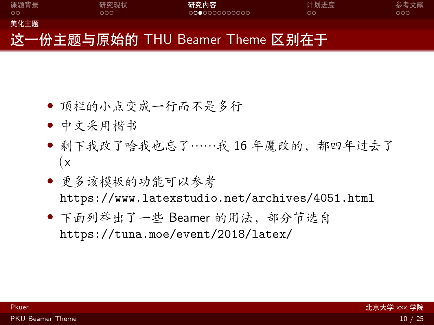

- *•* 顶栏的小点变成一行而不是多行
- *•* 中文采用楷书
- *•* 剩下我改了啥我也忘了……我 16 年魔改的,都四年过去了  $(x)$
- *•* 更多该模板的功能可以参考 <https://www.latexstudio.net/archives/4051.html>
- *•* 下面列举出了一些 Beamer 的用法,部分节选自 <https://tuna.moe/event/2018/latex/>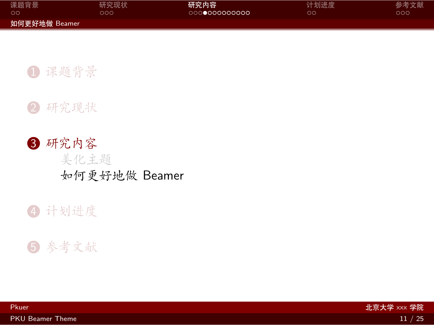<span id="page-13-0"></span>

| 课题背景          | 研究现状 | 研究内容          | 计划进度 | 参考文献 |
|---------------|------|---------------|------|------|
| - ററ          | າດດ  | 0000000000000 | OС   | റററ  |
| 如何更好地做 Beamer |      |               |      |      |



3 [研究内容](#page-10-0) [美化主题](#page-11-0) [如何更好地做](#page-13-0) Beamer

#### 4 [计划进度](#page-24-0)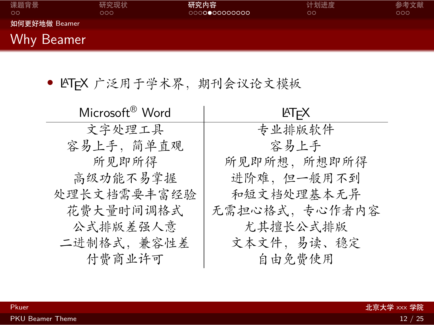| 课题背景<br>ററ    | 研究现状<br>000 | 研究内容<br>000000000000 | 计划进度<br>ററ | 参考文献<br>000 |
|---------------|-------------|----------------------|------------|-------------|
| 如何更好地做 Beamer |             |                      |            |             |
| Why Beamer    |             |                      |            |             |

• LATEX 广泛用于学术界, 期刊会议论文模板

| Microsoft <sup>®</sup> Word | <b>ATFX</b>   |
|-----------------------------|---------------|
| 文字处理工具                      | 专业排版软件        |
| 容易上手,简单直观                   | 容易上手          |
| 所见即所得                       | 所见即所想,所想即所得   |
| 高级功能不易掌握                    | 进阶难,但一般用不到    |
| 处理长文档需要丰富经验                 | 和短文档处理基本无异    |
| 花费大量时间调格式                   | 无需担心格式,专心作者内容 |
| 公式排版差强人意                    | 尤其擅长公式排版      |
| 二进制格式,兼容性差                  | 文本文件,易读、稳定    |
| 付费商业许可                      | 自由免费使用        |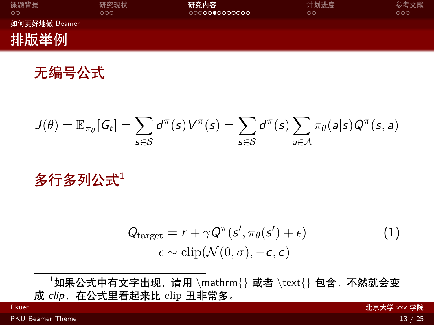| 课题背景<br>$\circ$ | 研究现状<br>റററ | 研究内容<br>0000000000000 | 计划进度<br>ററ | 参考文献<br>റററ |
|-----------------|-------------|-----------------------|------------|-------------|
| 如何更好地做 Beamer   |             |                       |            |             |
| 排版举例            |             |                       |            |             |

无编号公式

$$
J(\theta) = \mathbb{E}_{\pi_{\theta}}[G_t] = \sum_{s \in \mathcal{S}} d^{\pi}(s) V^{\pi}(s) = \sum_{s \in \mathcal{S}} d^{\pi}(s) \sum_{a \in \mathcal{A}} \pi_{\theta}(a|s) Q^{\pi}(s, a)
$$

多行多列公式1

$$
Qtarget = r + \gamma Q\pi(s', \pi_{\theta}(s') + \epsilon) \n\epsilon \sim \text{clip}(\mathcal{N}(0, \sigma), -c, c)
$$
\n(1)

<sup>1</sup>如果公式中有文字出现,请用 *\*mathrm{} 或者 *\*text{} 包含,不然就会变 成 clip, 在公式里看起来比 clip 丑非常多。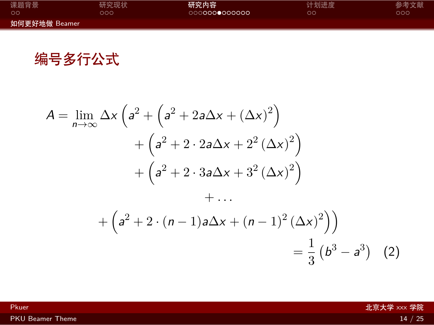| 课题背景          | 研究现状 | 研究内容          | 计划进度 | 参考文献 |
|---------------|------|---------------|------|------|
| ററ            | າດດ  | 0000000000000 | OС   | ാററ  |
| 如何更好地做 Beamer |      |               |      |      |

编号多行公式

$$
A = \lim_{n \to \infty} \Delta x \left( a^2 + \left( a^2 + 2a\Delta x + (\Delta x)^2 \right) + \left( a^2 + 2 \cdot 2a\Delta x + 2^2 (\Delta x)^2 \right) + \left( a^2 + 2 \cdot 3a\Delta x + 3^2 (\Delta x)^2 \right) + \dots
$$

$$
+ \left( a^2 + 2 \cdot (n-1)a\Delta x + (n-1)^2 (\Delta x)^2 \right) = \frac{1}{3} \left( b^3 - a^3 \right) (2)
$$

[PKU Beamer Theme](#page-0-0) 2012 12:00 12:00 12:00 12:00 12:00 12:00 12:00 12:00 12:00 12:00 12:00 12:00 12:00 12:00 12:00 12:00 12:00 12:00 12:00 12:00 12:00 12:00 12:00 12:00 12:00 12:00 12:00 12:00 12:00 12:00 12:00 12:00 12:00 12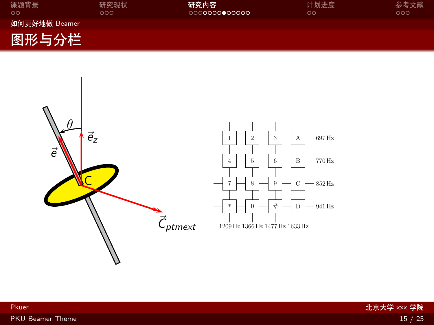| 课题背景<br>$\circ$ | 研究现状<br>೦೦೦ | 研究内容<br>0000000000000 | 计划进度<br>OΟ | 参考文献<br>೦೦೦ |
|-----------------|-------------|-----------------------|------------|-------------|
| 如何更好地做 Beamer   |             |                       |            |             |
| 图形与分栏           |             |                       |            |             |

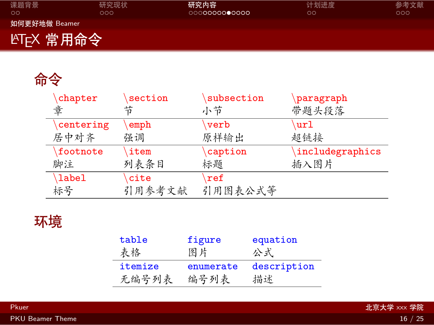| 课题背景<br>$\circ$         | 研究现状<br>೦೦೦ | 研究内容<br>0000000000000 | 计划进度<br>$\circ$ | 参考文献<br>000 |
|-------------------------|-------------|-----------------------|-----------------|-------------|
| 如何更好地做 Beamer           |             |                       |                 |             |
| LAT <sub>E</sub> X 常用命令 |             |                       |                 |             |

# 命令

| chapter   | section | subsection          | paragraph       |
|-----------|---------|---------------------|-----------------|
| 童         | 节       | 小节                  | 带题头段落           |
| centering | emph    | verb                | url             |
| 居中对齐      | 强调      | 原样输出                | 超链接             |
| footnote  | item    | caption             | includegraphics |
| 脚注        | 列表条目    | 标题                  | 插入图片            |
| \label    | cite    | $\sqrt{\text{ref}}$ |                 |
| 标号        | 引用参考文献  | 引用图表公式等             |                 |

# 环境

| table   | figure    | equation    |
|---------|-----------|-------------|
| 表格      | 图片        | 公式          |
| itemize | enumerate | description |
| 无编号列表   | 编号列表      | 描述          |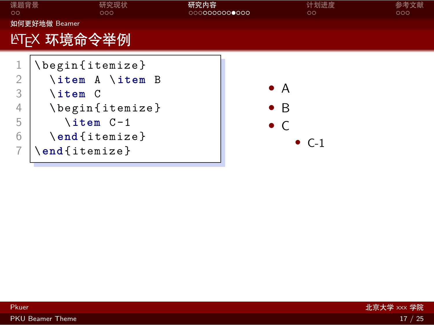| 课题背景<br>$\circ$                    | 研究现状<br>000                                                                                                                | 研究内容<br>0000000000000 | $\circ$                                                    | 计划进度 | 参考文献<br>000 |
|------------------------------------|----------------------------------------------------------------------------------------------------------------------------|-----------------------|------------------------------------------------------------|------|-------------|
|                                    | 如何更好地做 Beamer                                                                                                              |                       |                                                            |      |             |
|                                    | LYT <sub>E</sub> X 环境命令举例                                                                                                  |                       |                                                            |      |             |
| $\overline{2}$<br>3<br>4<br>5<br>6 | \begin{itemize}<br>\item A \item B<br>$\iota$ item $C$<br>\begin{itemize}<br>\item C-1<br>$\end{figure}$<br>$\end{figure}$ |                       | $\bullet$ A<br>$\bullet$ B<br>$\bullet$ C<br>$\bullet$ C-1 |      |             |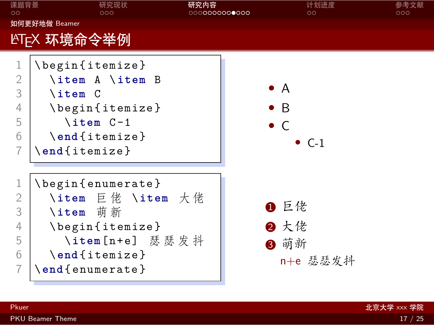| 课题背景<br>$\circ$                 | 研究现状<br>000                                                                                                                               | 研究内容<br>0000000000000 | 计划进度<br>$\circ$                                            | 参考文献<br>೦೦೦ |
|---------------------------------|-------------------------------------------------------------------------------------------------------------------------------------------|-----------------------|------------------------------------------------------------|-------------|
|                                 | 如何更好地做 Beamer                                                                                                                             |                       |                                                            |             |
|                                 | LYT <sub>E</sub> X 环境命令举例                                                                                                                 |                       |                                                            |             |
| 1<br>2<br>3<br>4<br>5<br>6<br>7 | \begin{itemize}<br>\item A \item B<br>$\iota$ item $C$<br>\begin{itemize}<br>$\iota$ item $C-1$<br>\end{itemize}<br>$\end{figure}$        |                       | $\bullet$ a<br>$\bullet$ B<br>$\bullet$ C<br>$\bullet$ C-1 |             |
| 2<br>3<br>4<br>5<br>6<br>7      | \begin{enumerate}<br>\item 巨佬 \item 大佬<br>\item 萌新<br>\begin{itemize}<br>\item[n+e] 瑟瑟发抖<br>$\end{figure}$<br>$\end{math}$ enumerate $\}$ |                       | ❶ 巨佬<br>2 大佬<br>8 萌新<br>n+e 瑟瑟发抖                           |             |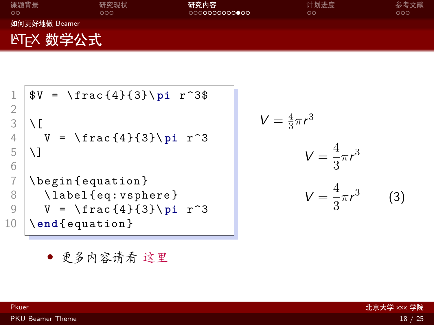| 课题背景<br>$\circ$         | 研究现状<br>റററ | 研究内容 | 计划进度<br>ററ | 参考文献<br>000 |
|-------------------------|-------------|------|------------|-------------|
| 如何更好地做 Beamer           |             |      |            |             |
| LAT <sub>E</sub> X 数学公式 |             |      |            |             |

1 \$ V = \ frac {4}{3}\ **pi** r ^3\$ 2 3 \[ 4 V = \ frac {4}{3}\ **pi** r ^3 5 \] 6 7 \ begin { equation } 8 \ label { eq : vsphere } 9 V = \ frac {4}{3}\ **pi** r ^3 10 \ **end** { equation } V =

<span id="page-21-0"></span>
$$
V = \frac{4}{3}\pi r^3
$$

$$
V = \frac{4}{3}\pi r^3
$$

$$
V = \frac{4}{3}\pi r^3
$$
(3)

*•* 更多内容请看 [这里](https://zh.wikipedia.org/wiki/Help:数学公式)

[PKU Beamer Theme](#page-0-0) 2012 18 / 25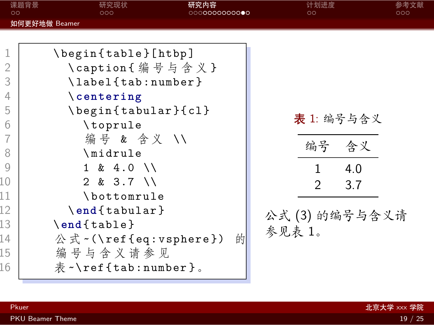<span id="page-22-0"></span>

| $\circ$                                  | 课题背景<br>研究现状<br>000                                                                                                   | 研究内容<br>0000000000000 | 计划进度<br>$\circ$                                                              | 参考文献<br>000 |
|------------------------------------------|-----------------------------------------------------------------------------------------------------------------------|-----------------------|------------------------------------------------------------------------------|-------------|
|                                          | 如何更好地做 Beamer                                                                                                         |                       |                                                                              |             |
| 1<br>$\overline{2}$<br>3<br>4<br>5       | \begin{table}[htbp]<br>\caption{编号与含义}<br>\label{tab:number}<br>$\setminus$ centering<br>\begin{tabular}{cl}          |                       |                                                                              |             |
| 6<br>7<br>8<br>9<br>10<br>11<br>12<br>13 | \toprule<br>编号 & 含义 //<br>\midrule<br>$1 \& 4.0 \&$<br>$2 & 3.7$ \\<br>\bottomrule<br>\end{tabular}<br>$\end{figure}$ |                       | 表 1: 编号与含义<br>编号 含义<br>4.0<br>$\mathcal{P}$<br>3.7<br>公式(3)的编号与含义请<br>参见表 1。 |             |
| 14<br>15<br>16                           | 公式 ~ (\ref{eq:vsphere})<br>编 号 与 含 义 请 参 见<br>$\bar{\mathcal{R}}$ $\sim$ \ref{tab:number}.                            | 的                     |                                                                              |             |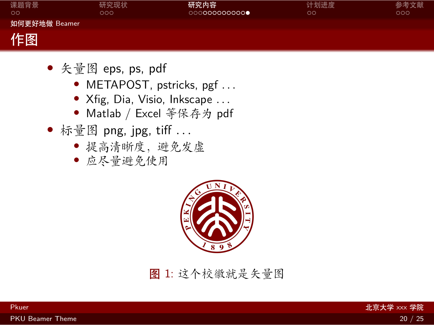| 课题背景<br>$\circ$ | 研究现状<br>000 | 研究内容<br>000000000000 | 计划进度<br>$\circ \circ$ | 参考文献<br>000 |
|-----------------|-------------|----------------------|-----------------------|-------------|
| 如何更好地做 Beamer   |             |                      |                       |             |
| 作图              |             |                      |                       |             |

- *•* 矢量图 eps, ps, pdf
	- *•* METAPOST, pstricks, pgf *. . .*
	- *•* Xfig, Dia, Visio, Inkscape *. . .*
	- *•* Matlab / Excel 等保存为 pdf
- *•* 标量图 png, jpg, tiff *. . .*
	- *•* 提高清晰度,避免发虚
	- *•* 应尽量避免使用



图 1: 这个校徽就是矢量图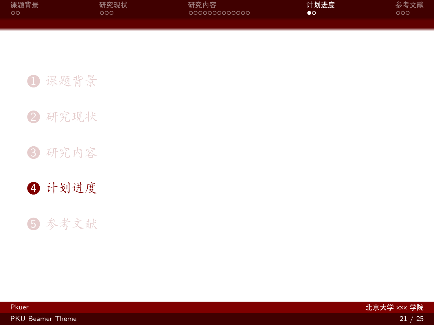<span id="page-24-0"></span>

| 课题背景 | 研究现状 | 研究内容          | 计划进度           | 参考文献 |
|------|------|---------------|----------------|------|
| - ററ | റററ  | 0000000000000 | $\bullet\circ$ | ೦೦೦  |
|      |      |               |                |      |

[研究现状](#page-7-0)

[研究内容](#page-10-0)

[计划进度](#page-24-0)

[参考文献](#page-26-0)

Pkuer 北京大学 xxx 学院

[PKU Beamer Theme](#page-0-0) 21 / 25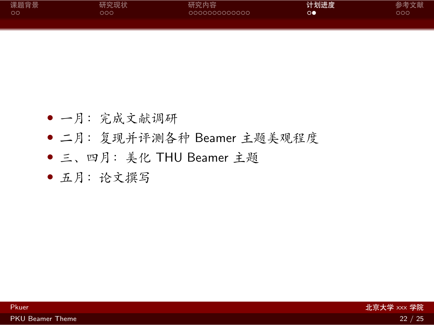| 课题背景    | 研究现状 | 研究内容          | 计划进度     | 参考文献 |
|---------|------|---------------|----------|------|
| $\circ$ | ລດດ  | 0000000000000 | $\infty$ | DOO  |
|         |      |               |          |      |

- *•* 一月:完成文献调研
- *•* 二月:复现并评测各种 Beamer 主题美观程度
- *•* 三、四月:美化 THU Beamer 主题
- *•* 五月:论文撰写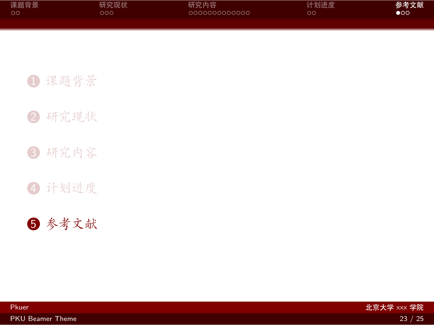<span id="page-26-0"></span>

| 课题背景 | 研究现状 | 研究内容          | 计划进度 | 参考文献 |
|------|------|---------------|------|------|
| ം റ  | റററ  | 0000000000000 | OΟ   | ററ   |
|      |      |               |      |      |

[研究现状](#page-7-0)

[研究内容](#page-10-0)

[计划进度](#page-24-0)

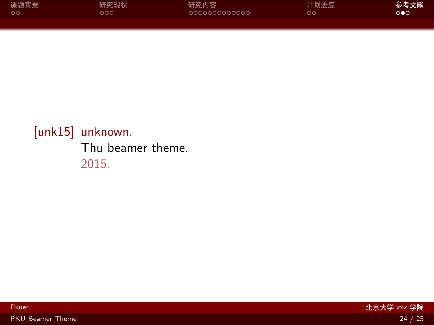| 课题背景 | 研究现状 | 研究内容          | 计划进度 | 参考文献                  |
|------|------|---------------|------|-----------------------|
| . ററ | റററ  | 0000000000000 | ററ   | $\circ \bullet \circ$ |
|      |      |               |      |                       |

### <span id="page-27-0"></span>[unk15] unknown. Thu beamer theme. 2015.